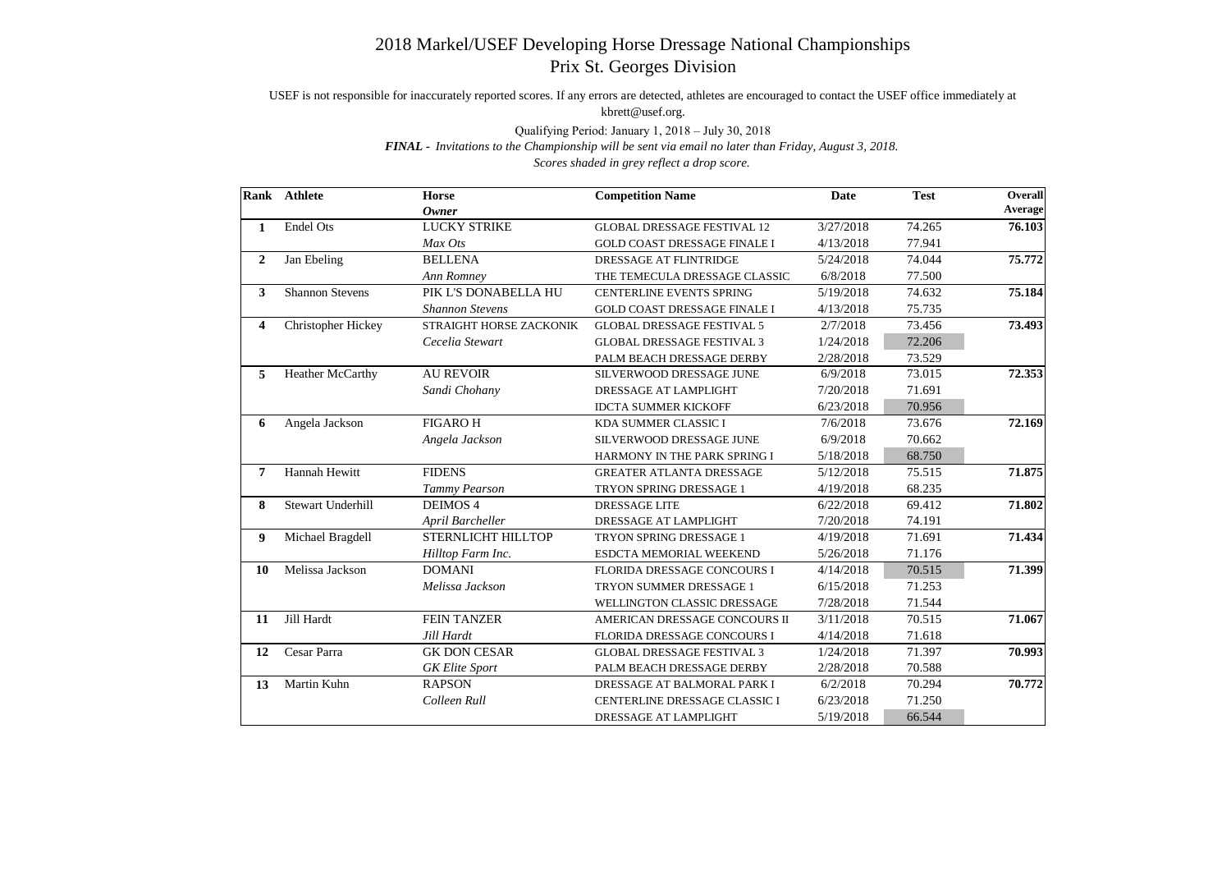## 2018 Markel/USEF Developing Horse Dressage National Championships Prix St. Georges Division

USEF is not responsible for inaccurately reported scores. If any errors are detected, athletes are encouraged to contact the USEF office immediately at kbrett@usef.org.

Qualifying Period: January 1, 2018 – July 30, 2018

*FINAL - Invitations to the Championship will be sent via email no later than Friday, August 3, 2018. Scores shaded in grey reflect a drop score.*

|                         | Rank Athlete              | <b>Horse</b><br><b>Owner</b> | <b>Competition Name</b>             | <b>Date</b> | <b>Test</b> | <b>Overall</b><br>Average |
|-------------------------|---------------------------|------------------------------|-------------------------------------|-------------|-------------|---------------------------|
| 1                       | <b>Endel Ots</b>          | <b>LUCKY STRIKE</b>          | <b>GLOBAL DRESSAGE FESTIVAL 12</b>  | 3/27/2018   | 74.265      | 76.103                    |
|                         |                           | Max Ots                      | <b>GOLD COAST DRESSAGE FINALE I</b> | 4/13/2018   | 77.941      |                           |
| $\boldsymbol{2}$        | Jan Ebeling               | <b>BELLENA</b>               | DRESSAGE AT FLINTRIDGE              | 5/24/2018   | 74.044      | 75.772                    |
|                         |                           | Ann Romney                   | THE TEMECULA DRESSAGE CLASSIC       | 6/8/2018    | 77.500      |                           |
| $\mathbf{3}$            | <b>Shannon Stevens</b>    | PIK L'S DONABELLA HU         | <b>CENTERLINE EVENTS SPRING</b>     | 5/19/2018   | 74.632      | 75.184                    |
|                         |                           | <b>Shannon Stevens</b>       | <b>GOLD COAST DRESSAGE FINALE I</b> | 4/13/2018   | 75.735      |                           |
| $\overline{\mathbf{4}}$ | <b>Christopher Hickey</b> | STRAIGHT HORSE ZACKONIK      | <b>GLOBAL DRESSAGE FESTIVAL 5</b>   | 2/7/2018    | 73.456      | 73.493                    |
|                         |                           | Cecelia Stewart              | <b>GLOBAL DRESSAGE FESTIVAL 3</b>   | 1/24/2018   | 72.206      |                           |
|                         |                           |                              | PALM BEACH DRESSAGE DERBY           | 2/28/2018   | 73.529      |                           |
| 5                       | <b>Heather McCarthy</b>   | <b>AU REVOIR</b>             | SILVERWOOD DRESSAGE JUNE            | 6/9/2018    | 73.015      | 72.353                    |
|                         |                           | Sandi Chohany                | DRESSAGE AT LAMPLIGHT               | 7/20/2018   | 71.691      |                           |
|                         |                           |                              | <b>IDCTA SUMMER KICKOFF</b>         | 6/23/2018   | 70.956      |                           |
| 6                       | Angela Jackson            | <b>FIGARO H</b>              | KDA SUMMER CLASSIC I                | 7/6/2018    | 73.676      | 72.169                    |
|                         |                           | Angela Jackson               | SILVERWOOD DRESSAGE JUNE            | 6/9/2018    | 70.662      |                           |
|                         |                           |                              | HARMONY IN THE PARK SPRING I        | 5/18/2018   | 68.750      |                           |
| $\overline{7}$          | Hannah Hewitt             | <b>FIDENS</b>                | <b>GREATER ATLANTA DRESSAGE</b>     | 5/12/2018   | 75.515      | 71.875                    |
|                         |                           | Tammy Pearson                | TRYON SPRING DRESSAGE 1             | 4/19/2018   | 68.235      |                           |
| 8                       | <b>Stewart Underhill</b>  | DEIMOS 4                     | DRESSAGE LITE                       | 6/22/2018   | 69.412      | 71.802                    |
|                         |                           | April Barcheller             | DRESSAGE AT LAMPLIGHT               | 7/20/2018   | 74.191      |                           |
| $\boldsymbol{9}$        | Michael Bragdell          | STERNLICHT HILLTOP           | TRYON SPRING DRESSAGE 1             | 4/19/2018   | 71.691      | 71.434                    |
|                         |                           | Hilltop Farm Inc.            | ESDCTA MEMORIAL WEEKEND             | 5/26/2018   | 71.176      |                           |
| 10                      | Melissa Jackson           | <b>DOMANI</b>                | FLORIDA DRESSAGE CONCOURS I         | 4/14/2018   | 70.515      | 71.399                    |
|                         |                           | Melissa Jackson              | TRYON SUMMER DRESSAGE 1             | 6/15/2018   | 71.253      |                           |
|                         |                           |                              | WELLINGTON CLASSIC DRESSAGE         | 7/28/2018   | 71.544      |                           |
| 11                      | Jill Hardt                | <b>FEIN TANZER</b>           | AMERICAN DRESSAGE CONCOURS II       | 3/11/2018   | 70.515      | 71.067                    |
|                         |                           | Jill Hardt                   | FLORIDA DRESSAGE CONCOURS I         | 4/14/2018   | 71.618      |                           |
| 12                      | Cesar Parra               | <b>GK DON CESAR</b>          | <b>GLOBAL DRESSAGE FESTIVAL 3</b>   | 1/24/2018   | 71.397      | 70.993                    |
|                         |                           | <b>GK</b> Elite Sport        | PALM BEACH DRESSAGE DERBY           | 2/28/2018   | 70.588      |                           |
| 13                      | Martin Kuhn               | <b>RAPSON</b>                | DRESSAGE AT BALMORAL PARK I         | 6/2/2018    | 70.294      | 70.772                    |
|                         |                           | Colleen Rull                 | CENTERLINE DRESSAGE CLASSIC I       | 6/23/2018   | 71.250      |                           |
|                         |                           |                              | DRESSAGE AT LAMPLIGHT               | 5/19/2018   | 66.544      |                           |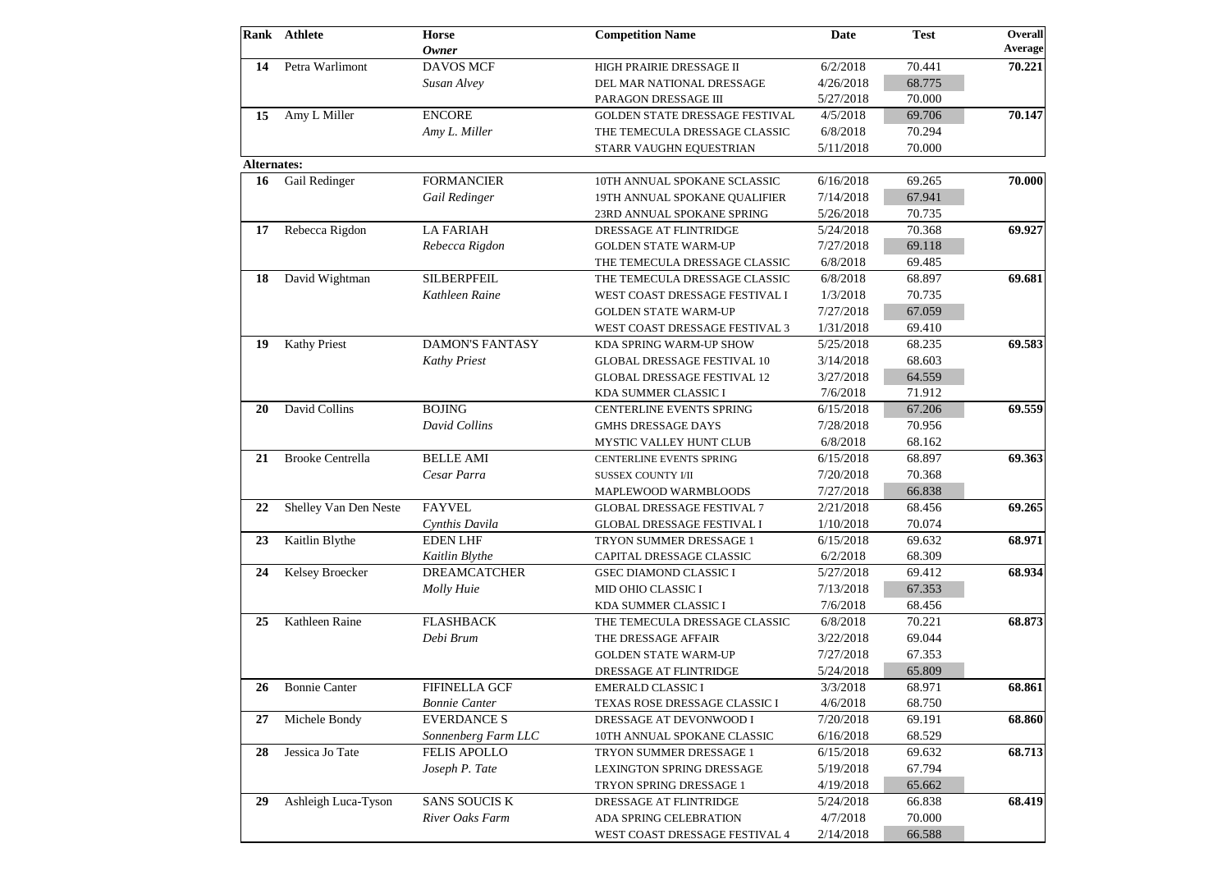|                    | Rank Athlete            | <b>Horse</b><br><b>Owner</b> | <b>Competition Name</b>            | <b>Date</b> | <b>Test</b> | Overall                                                                                                                                   |
|--------------------|-------------------------|------------------------------|------------------------------------|-------------|-------------|-------------------------------------------------------------------------------------------------------------------------------------------|
| 14                 | Petra Warlimont         | <b>DAVOS MCF</b>             | HIGH PRAIRIE DRESSAGE II           | 6/2/2018    | 70.441      |                                                                                                                                           |
|                    |                         | Susan Alvey                  | DEL MAR NATIONAL DRESSAGE          | 4/26/2018   | 68.775      |                                                                                                                                           |
|                    |                         |                              | PARAGON DRESSAGE III               | 5/27/2018   | 70.000      |                                                                                                                                           |
| 15                 | Amy L Miller            | <b>ENCORE</b>                | GOLDEN STATE DRESSAGE FESTIVAL     | 4/5/2018    | 69.706      |                                                                                                                                           |
|                    |                         | Amy L. Miller                | THE TEMECULA DRESSAGE CLASSIC      | 6/8/2018    | 70.294      |                                                                                                                                           |
|                    |                         |                              | STARR VAUGHN EQUESTRIAN            | 5/11/2018   | 70.000      |                                                                                                                                           |
| <b>Alternates:</b> |                         |                              |                                    |             |             |                                                                                                                                           |
| 16                 | Gail Redinger           | <b>FORMANCIER</b>            | 10TH ANNUAL SPOKANE SCLASSIC       | 6/16/2018   | 69.265      |                                                                                                                                           |
|                    |                         | Gail Redinger                | 19TH ANNUAL SPOKANE QUALIFIER      | 7/14/2018   | 67.941      |                                                                                                                                           |
|                    |                         |                              | 23RD ANNUAL SPOKANE SPRING         | 5/26/2018   | 70.735      | Average<br>70.221<br>70.147<br>70.000<br>69.927<br>69.681<br>69.265<br>68.971<br>68.934<br>68.873<br>68.861<br>68.860<br>68.713<br>68.419 |
| 17                 | Rebecca Rigdon          | <b>LA FARIAH</b>             | DRESSAGE AT FLINTRIDGE             | 5/24/2018   | 70.368      |                                                                                                                                           |
|                    |                         | Rebecca Rigdon               | <b>GOLDEN STATE WARM-UP</b>        | 7/27/2018   | 69.118      |                                                                                                                                           |
|                    |                         |                              | THE TEMECULA DRESSAGE CLASSIC      | 6/8/2018    | 69.485      | 69.583<br>69.559                                                                                                                          |
| 18                 | David Wightman          | <b>SILBERPFEIL</b>           | THE TEMECULA DRESSAGE CLASSIC      | 6/8/2018    | 68.897      |                                                                                                                                           |
|                    |                         | Kathleen Raine               | WEST COAST DRESSAGE FESTIVAL I     | 1/3/2018    | 70.735      |                                                                                                                                           |
|                    |                         |                              | <b>GOLDEN STATE WARM-UP</b>        | 7/27/2018   | 67.059      |                                                                                                                                           |
|                    |                         |                              | WEST COAST DRESSAGE FESTIVAL 3     | 1/31/2018   | 69.410      |                                                                                                                                           |
| 19                 | <b>Kathy Priest</b>     | <b>DAMON'S FANTASY</b>       | KDA SPRING WARM-UP SHOW            | 5/25/2018   | 68.235      |                                                                                                                                           |
|                    |                         | <b>Kathy Priest</b>          | <b>GLOBAL DRESSAGE FESTIVAL 10</b> | 3/14/2018   | 68.603      |                                                                                                                                           |
|                    |                         |                              | <b>GLOBAL DRESSAGE FESTIVAL 12</b> | 3/27/2018   | 64.559      |                                                                                                                                           |
|                    |                         |                              | KDA SUMMER CLASSIC I               | 7/6/2018    | 71.912      |                                                                                                                                           |
| 20                 | David Collins           | <b>BOJING</b>                | CENTERLINE EVENTS SPRING           | 6/15/2018   | 67.206      |                                                                                                                                           |
|                    |                         | <b>David Collins</b>         | <b>GMHS DRESSAGE DAYS</b>          | 7/28/2018   | 70.956      |                                                                                                                                           |
|                    |                         |                              | MYSTIC VALLEY HUNT CLUB            | 6/8/2018    | 68.162      |                                                                                                                                           |
| 21                 | <b>Brooke Centrella</b> | <b>BELLE AMI</b>             | CENTERLINE EVENTS SPRING           | 6/15/2018   | 68.897      |                                                                                                                                           |
|                    |                         | Cesar Parra                  | SUSSEX COUNTY I/II                 | 7/20/2018   | 70.368      |                                                                                                                                           |
|                    |                         |                              | MAPLEWOOD WARMBLOODS               | 7/27/2018   | 66.838      | 69.363                                                                                                                                    |
| 22                 | Shelley Van Den Neste   | <b>FAYVEL</b>                | <b>GLOBAL DRESSAGE FESTIVAL 7</b>  | 2/21/2018   | 68.456      |                                                                                                                                           |
|                    |                         | Cynthis Davila               | <b>GLOBAL DRESSAGE FESTIVAL I</b>  | 1/10/2018   | 70.074      |                                                                                                                                           |
| 23                 | Kaitlin Blythe          | <b>EDEN LHF</b>              | TRYON SUMMER DRESSAGE 1            | 6/15/2018   | 69.632      |                                                                                                                                           |
|                    |                         | Kaitlin Blythe               | CAPITAL DRESSAGE CLASSIC           | 6/2/2018    | 68.309      |                                                                                                                                           |
| 24                 | Kelsey Broecker         | <b>DREAMCATCHER</b>          | <b>GSEC DIAMOND CLASSIC I</b>      | 5/27/2018   | 69.412      |                                                                                                                                           |
|                    |                         | Molly Huie                   | MID OHIO CLASSIC I                 | 7/13/2018   | 67.353      |                                                                                                                                           |
|                    |                         |                              | KDA SUMMER CLASSIC I               | 7/6/2018    | 68.456      |                                                                                                                                           |
| 25                 | Kathleen Raine          | <b>FLASHBACK</b>             | THE TEMECULA DRESSAGE CLASSIC      | 6/8/2018    | 70.221      |                                                                                                                                           |
|                    |                         | Debi Brum                    | THE DRESSAGE AFFAIR                | 3/22/2018   | 69.044      |                                                                                                                                           |
|                    |                         |                              | <b>GOLDEN STATE WARM-UP</b>        | 7/27/2018   | 67.353      |                                                                                                                                           |
|                    |                         |                              | DRESSAGE AT FLINTRIDGE             | 5/24/2018   | 65.809      |                                                                                                                                           |
| 26                 | <b>Bonnie Canter</b>    | <b>FIFINELLA GCF</b>         | <b>EMERALD CLASSIC I</b>           | 3/3/2018    | 68.971      |                                                                                                                                           |
|                    |                         | <b>Bonnie Canter</b>         | TEXAS ROSE DRESSAGE CLASSIC I      | 4/6/2018    | 68.750      |                                                                                                                                           |
| 27                 | Michele Bondy           | <b>EVERDANCE S</b>           | DRESSAGE AT DEVONWOOD I            | 7/20/2018   | 69.191      |                                                                                                                                           |
|                    |                         | Sonnenberg Farm LLC          | 10TH ANNUAL SPOKANE CLASSIC        | 6/16/2018   | 68.529      |                                                                                                                                           |
| 28                 | Jessica Jo Tate         | <b>FELIS APOLLO</b>          | TRYON SUMMER DRESSAGE 1            | 6/15/2018   | 69.632      |                                                                                                                                           |
|                    |                         | Joseph P. Tate               | <b>LEXINGTON SPRING DRESSAGE</b>   | 5/19/2018   | 67.794      |                                                                                                                                           |
|                    |                         |                              | TRYON SPRING DRESSAGE 1            | 4/19/2018   | 65.662      |                                                                                                                                           |
| 29                 | Ashleigh Luca-Tyson     | <b>SANS SOUCIS K</b>         | DRESSAGE AT FLINTRIDGE             | 5/24/2018   | 66.838      |                                                                                                                                           |
|                    |                         | River Oaks Farm              | ADA SPRING CELEBRATION             | 4/7/2018    | 70.000      |                                                                                                                                           |
|                    |                         |                              |                                    |             |             |                                                                                                                                           |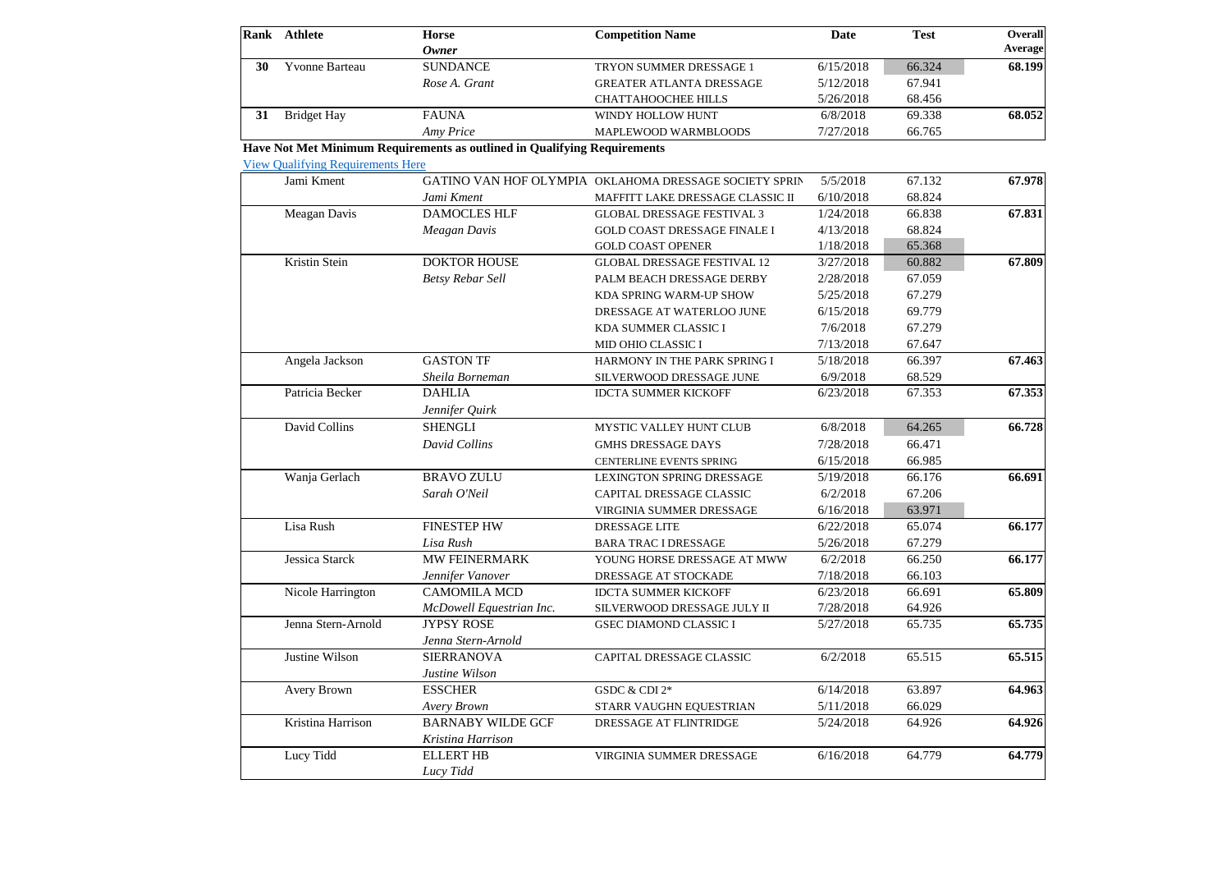|    | Rank Athlete                                           | <b>Horse</b><br><b>Owner</b>                                             | <b>Competition Name</b>                                | <b>Date</b> | <b>Test</b>                                                                                                                                                                                                                                                                                              | Overall<br><b>Average</b> |
|----|--------------------------------------------------------|--------------------------------------------------------------------------|--------------------------------------------------------|-------------|----------------------------------------------------------------------------------------------------------------------------------------------------------------------------------------------------------------------------------------------------------------------------------------------------------|---------------------------|
| 30 | Yvonne Barteau                                         | <b>SUNDANCE</b>                                                          | TRYON SUMMER DRESSAGE 1                                | 6/15/2018   | 66.324                                                                                                                                                                                                                                                                                                   | 68.199                    |
|    |                                                        | Rose A. Grant                                                            | <b>GREATER ATLANTA DRESSAGE</b>                        | 5/12/2018   | 67.941<br>68.456<br>69.338<br>66.765<br>67.132<br>68.824<br>66.838<br>68.824<br>65.368<br>60.882<br>67.059<br>67.279<br>69.779<br>67.279<br>67.647<br>66.397<br>68.529<br>67.353<br>64.265<br>66.471<br>66.985<br>66.176<br>67.206<br>63.971<br>65.074<br>67.279<br>66.250<br>66.103<br>66.691<br>64.926 |                           |
|    |                                                        |                                                                          | <b>CHATTAHOOCHEE HILLS</b>                             | 5/26/2018   |                                                                                                                                                                                                                                                                                                          |                           |
| 31 | <b>Bridget Hay</b>                                     | <b>FAUNA</b>                                                             | WINDY HOLLOW HUNT                                      | 6/8/2018    |                                                                                                                                                                                                                                                                                                          | 68.052                    |
|    |                                                        | Amy Price                                                                | MAPLEWOOD WARMBLOODS                                   | 7/27/2018   |                                                                                                                                                                                                                                                                                                          |                           |
|    |                                                        | Have Not Met Minimum Requirements as outlined in Qualifying Requirements |                                                        |             |                                                                                                                                                                                                                                                                                                          |                           |
|    | <b>View Qualifying Requirements Here</b><br>Jami Kment |                                                                          | GATINO VAN HOF OLYMPIA OKLAHOMA DRESSAGE SOCIETY SPRIN | 5/5/2018    |                                                                                                                                                                                                                                                                                                          | 67.978                    |
|    |                                                        |                                                                          |                                                        |             |                                                                                                                                                                                                                                                                                                          |                           |
|    |                                                        | Jami Kment                                                               | MAFFITT LAKE DRESSAGE CLASSIC II                       | 6/10/2018   |                                                                                                                                                                                                                                                                                                          |                           |
|    | Meagan Davis                                           | <b>DAMOCLES HLF</b>                                                      | <b>GLOBAL DRESSAGE FESTIVAL 3</b>                      | 1/24/2018   |                                                                                                                                                                                                                                                                                                          | 67.831                    |
|    |                                                        | Meagan Davis                                                             | <b>GOLD COAST DRESSAGE FINALE I</b>                    | 4/13/2018   |                                                                                                                                                                                                                                                                                                          |                           |
|    |                                                        |                                                                          | <b>GOLD COAST OPENER</b>                               | 1/18/2018   |                                                                                                                                                                                                                                                                                                          |                           |
|    | Kristin Stein                                          | <b>DOKTOR HOUSE</b>                                                      | <b>GLOBAL DRESSAGE FESTIVAL 12</b>                     | 3/27/2018   |                                                                                                                                                                                                                                                                                                          | 67.809                    |
|    |                                                        | <b>Betsy Rebar Sell</b>                                                  | PALM BEACH DRESSAGE DERBY                              | 2/28/2018   |                                                                                                                                                                                                                                                                                                          |                           |
|    |                                                        |                                                                          | KDA SPRING WARM-UP SHOW                                | 5/25/2018   |                                                                                                                                                                                                                                                                                                          |                           |
|    |                                                        |                                                                          | DRESSAGE AT WATERLOO JUNE                              | 6/15/2018   |                                                                                                                                                                                                                                                                                                          |                           |
|    |                                                        |                                                                          | KDA SUMMER CLASSIC I                                   | 7/6/2018    |                                                                                                                                                                                                                                                                                                          |                           |
|    |                                                        |                                                                          | MID OHIO CLASSIC I                                     | 7/13/2018   |                                                                                                                                                                                                                                                                                                          |                           |
|    | Angela Jackson                                         | <b>GASTON TF</b>                                                         | HARMONY IN THE PARK SPRING I                           | 5/18/2018   |                                                                                                                                                                                                                                                                                                          | 67.463                    |
|    |                                                        | Sheila Borneman                                                          | SILVERWOOD DRESSAGE JUNE                               | 6/9/2018    |                                                                                                                                                                                                                                                                                                          |                           |
|    | Patricia Becker                                        | <b>DAHLIA</b>                                                            | <b>IDCTA SUMMER KICKOFF</b>                            | 6/23/2018   |                                                                                                                                                                                                                                                                                                          | 67.353                    |
|    |                                                        | Jennifer Quirk                                                           |                                                        |             |                                                                                                                                                                                                                                                                                                          |                           |
|    | David Collins                                          | <b>SHENGLI</b>                                                           | MYSTIC VALLEY HUNT CLUB                                | 6/8/2018    |                                                                                                                                                                                                                                                                                                          | 66.728                    |
|    |                                                        | David Collins                                                            | <b>GMHS DRESSAGE DAYS</b>                              | 7/28/2018   |                                                                                                                                                                                                                                                                                                          |                           |
|    |                                                        |                                                                          | <b>CENTERLINE EVENTS SPRING</b>                        | 6/15/2018   |                                                                                                                                                                                                                                                                                                          |                           |
|    | Wanja Gerlach                                          | <b>BRAVO ZULU</b>                                                        | <b>LEXINGTON SPRING DRESSAGE</b>                       | 5/19/2018   |                                                                                                                                                                                                                                                                                                          | 66.691                    |
|    |                                                        | Sarah O'Neil                                                             | CAPITAL DRESSAGE CLASSIC                               | 6/2/2018    |                                                                                                                                                                                                                                                                                                          |                           |
|    |                                                        |                                                                          | VIRGINIA SUMMER DRESSAGE                               | 6/16/2018   |                                                                                                                                                                                                                                                                                                          |                           |
|    | Lisa Rush                                              | <b>FINESTEP HW</b>                                                       | <b>DRESSAGE LITE</b>                                   | 6/22/2018   |                                                                                                                                                                                                                                                                                                          | 66.177                    |
|    |                                                        | Lisa Rush                                                                | <b>BARA TRAC I DRESSAGE</b>                            | 5/26/2018   |                                                                                                                                                                                                                                                                                                          |                           |
|    | Jessica Starck                                         | MW FEINERMARK                                                            | YOUNG HORSE DRESSAGE AT MWW                            | 6/2/2018    |                                                                                                                                                                                                                                                                                                          | 66.177                    |
|    |                                                        | Jennifer Vanover                                                         | DRESSAGE AT STOCKADE                                   | 7/18/2018   |                                                                                                                                                                                                                                                                                                          |                           |
|    | Nicole Harrington                                      | <b>CAMOMILA MCD</b>                                                      | <b>IDCTA SUMMER KICKOFF</b>                            | 6/23/2018   |                                                                                                                                                                                                                                                                                                          | 65.809                    |
|    |                                                        | McDowell Equestrian Inc.                                                 | SILVERWOOD DRESSAGE JULY II                            | 7/28/2018   |                                                                                                                                                                                                                                                                                                          |                           |
|    | Jenna Stern-Arnold                                     | <b>JYPSY ROSE</b>                                                        | <b>GSEC DIAMOND CLASSIC I</b>                          | 5/27/2018   | 65.735                                                                                                                                                                                                                                                                                                   | 65.735                    |
|    |                                                        |                                                                          |                                                        |             |                                                                                                                                                                                                                                                                                                          |                           |
|    |                                                        | Jenna Stern-Arnold                                                       |                                                        |             |                                                                                                                                                                                                                                                                                                          |                           |
|    | Justine Wilson                                         | <b>SIERRANOVA</b>                                                        | CAPITAL DRESSAGE CLASSIC                               | 6/2/2018    | 65.515                                                                                                                                                                                                                                                                                                   | 65.515                    |
|    |                                                        | Justine Wilson                                                           |                                                        |             |                                                                                                                                                                                                                                                                                                          |                           |
|    | Avery Brown                                            | <b>ESSCHER</b>                                                           | GSDC & CDI 2*                                          | 6/14/2018   | 63.897                                                                                                                                                                                                                                                                                                   | 64.963                    |
|    |                                                        | Avery Brown                                                              | STARR VAUGHN EQUESTRIAN                                | 5/11/2018   | 66.029                                                                                                                                                                                                                                                                                                   |                           |
|    | Kristina Harrison                                      | <b>BARNABY WILDE GCF</b><br>Kristina Harrison                            | DRESSAGE AT FLINTRIDGE                                 | 5/24/2018   | 64.926                                                                                                                                                                                                                                                                                                   | 64.926                    |
|    | Lucy Tidd                                              | <b>ELLERT HB</b><br>Lucy Tidd                                            | VIRGINIA SUMMER DRESSAGE                               | 6/16/2018   | 64.779                                                                                                                                                                                                                                                                                                   | 64.779                    |